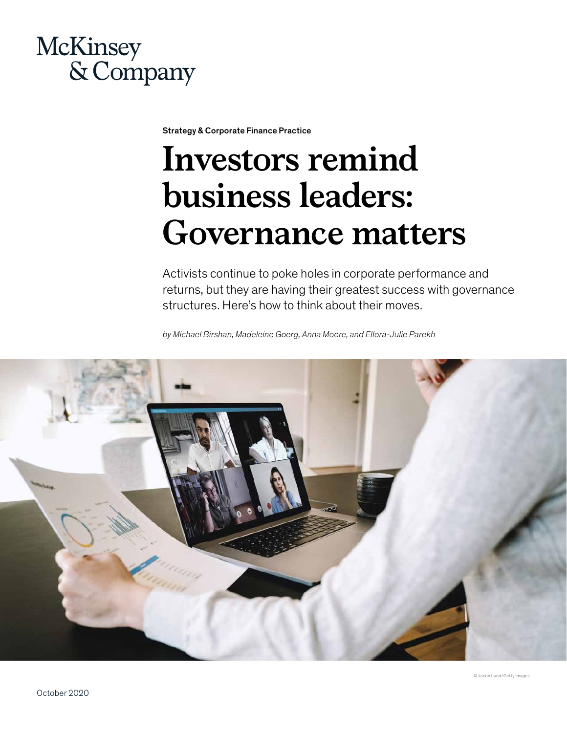

Strategy & Corporate Finance Practice

# **Investors remind business leaders: Governance matters**

Activists continue to poke holes in corporate performance and returns, but they are having their greatest success with governance structures. Here's how to think about their moves.

*by Michael Birshan, Madeleine Goerg, Anna Moore, and Ellora-Julie Parekh*

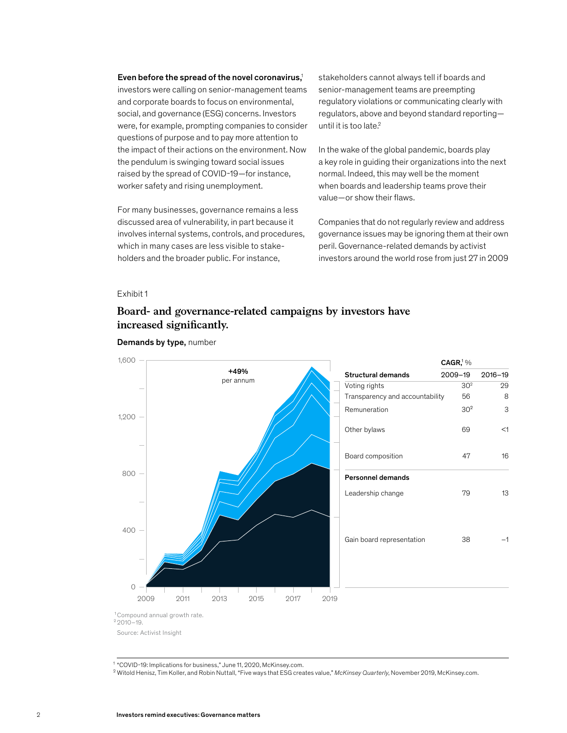#### Even before the spread of the novel coronavirus, $\frac{1}{1}$

investors were calling on senior-management teams and corporate boards to focus on environmental, social, and governance (ESG) concerns. Investors were, for example, prompting companies to consider questions of purpose and to pay more attention to the impact of their actions on the environment. Now the pendulum is swinging toward social issues raised by the spread of COVID-19—for instance, worker safety and rising unemployment.

For many businesses, governance remains a less discussed area of vulnerability, in part because it involves internal systems, controls, and procedures, which in many cases are less visible to stakeholders and the broader public. For instance,

stakeholders cannot always tell if boards and senior-management teams are preempting regulatory violations or communicating clearly with regulators, above and beyond standard reporting until it is too late.<sup>2</sup>

In the wake of the global pandemic, boards play a key role in guiding their organizations into the next normal. Indeed, this may well be the moment when boards and leadership teams prove their value—or show their flaws.

Companies that do not regularly review and address governance issues may be ignoring them at their own peril. Governance-related demands by activist investors around the world rose from just 27 in 2009

## Exhibit 1

# **Board- and governance-related campaigns by investors have increased signi cantly.**



#### Demands by type, number

Source: Activist Insight

<sup>1</sup> "COVID-19: Implications for business," June 11, 2020, McKinsey.com.

<sup>2</sup> Witold Henisz, Tim Koller, and Robin Nuttall, "Five ways that ESG creates value," *McKinsey Quarterly*, November 2019, McKinsey.com.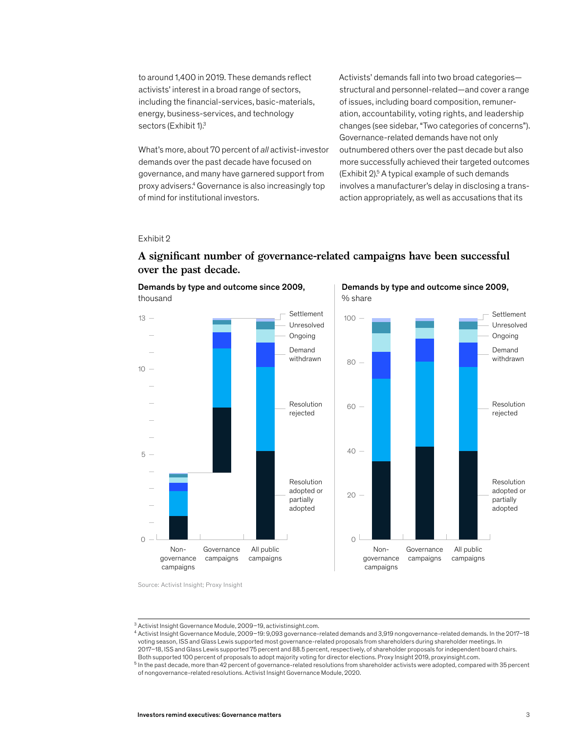to around 1,400 in 2019. These demands reflect activists' interest in a broad range of sectors, including the financial-services, basic-materials, energy, business-services, and technology sectors (Exhibit 1).<sup>3</sup>

What's more, about 70 percent of all activist-investor demands over the past decade have focused on governance, and many have garnered support from proxy advisers.4 Governance is also increasingly top of mind for institutional investors.

Activists' demands fall into two broad categories structural and personnel-related—and cover a range of issues, including board composition, remuneration, accountability, voting rights, and leadership changes (see sidebar, "Two categories of concerns"). Governance-related demands have not only outnumbered others over the past decade but also more successfully achieved their targeted outcomes (Exhibit 2).5 A typical example of such demands involves a manufacturer's delay in disclosing a transaction appropriately, as well as accusations that its

Demands by type and outcome since 2009,

## Exhibit 2

# **A signicant number of governance-related campaigns have been successful over the past decade.**





Source: Activist Insight; Proxy Insight

<sup>3</sup> Activist Insight Governance Module, 2009–19, activistinsight.com.

<sup>4</sup> Activist Insight Governance Module, 2009–19: 9,093 governance-related demands and 3,919 nongovernance-related demands. In the 2017–18 voting season, ISS and Glass Lewis supported most governance-related proposals from shareholders during shareholder meetings. In 2017–18, ISS and Glass Lewis supported 75 percent and 88.5 percent, respectively, of shareholder proposals for independent board chairs.

Both supported 100 percent of proposals to adopt majority voting for director elections. Proxy Insight 2019, proxyinsight.com.

 $^5$  In the past decade, more than 42 percent of governance-related resolutions from shareholder activists were adopted, compared with 35 percent of nongovernance-related resolutions. Activist Insight Governance Module, 2020.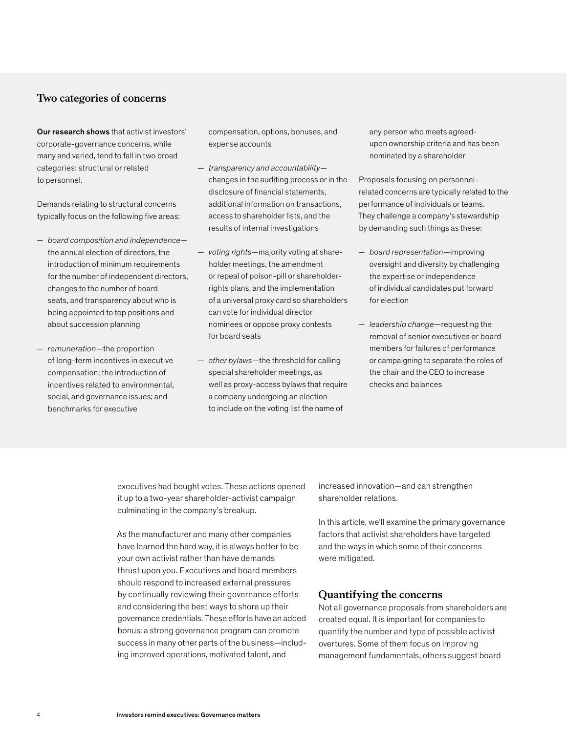# **Two categories of concerns**

Our research shows that activist investors' corporate-governance concerns, while many and varied, tend to fall in two broad categories: structural or related to personnel.

Demands relating to structural concerns typically focus on the following five areas:

- *board composition and independence* the annual election of directors, the introduction of minimum requirements for the number of independent directors, changes to the number of board seats, and transparency about who is being appointed to top positions and about succession planning
- *remuneration*—the proportion of long-term incentives in executive compensation; the introduction of incentives related to environmental, social, and governance issues; and benchmarks for executive

compensation, options, bonuses, and expense accounts

- *transparency and accountability* changes in the auditing process or in the disclosure of financial statements, additional information on transactions, access to shareholder lists, and the results of internal investigations
- *voting rights*—majority voting at shareholder meetings, the amendment or repeal of poison-pill or shareholderrights plans, and the implementation of a universal proxy card so shareholders can vote for individual director nominees or oppose proxy contests for board seats
- *other bylaws*—the threshold for calling special shareholder meetings, as well as proxy-access bylaws that require a company undergoing an election to include on the voting list the name of

any person who meets agreedupon ownership criteria and has been nominated by a shareholder

Proposals focusing on personnelrelated concerns are typically related to the performance of individuals or teams. They challenge a company's stewardship by demanding such things as these:

- *board representation*—improving oversight and diversity by challenging the expertise or independence of individual candidates put forward for election
- *leadership change*—requesting the removal of senior executives or board members for failures of performance or campaigning to separate the roles of the chair and the CEO to increase checks and balances

executives had bought votes. These actions opened it up to a two-year shareholder-activist campaign culminating in the company's breakup.

As the manufacturer and many other companies have learned the hard way, it is always better to be your own activist rather than have demands thrust upon you. Executives and board members should respond to increased external pressures by continually reviewing their governance efforts and considering the best ways to shore up their governance credentials. These efforts have an added bonus: a strong governance program can promote success in many other parts of the business—including improved operations, motivated talent, and

increased innovation—and can strengthen shareholder relations.

In this article, we'll examine the primary governance factors that activist shareholders have targeted and the ways in which some of their concerns were mitigated.

# **Quantifying the concerns**

Not all governance proposals from shareholders are created equal. It is important for companies to quantify the number and type of possible activist overtures. Some of them focus on improving management fundamentals, others suggest board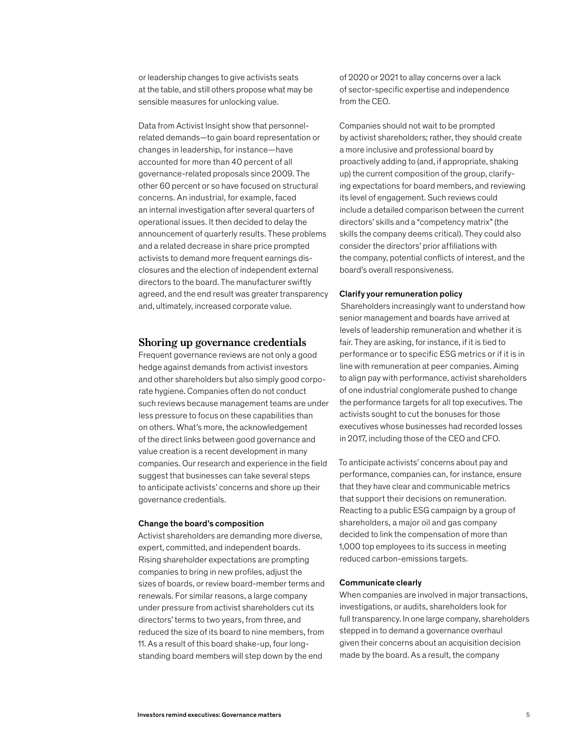or leadership changes to give activists seats at the table, and still others propose what may be sensible measures for unlocking value.

Data from Activist Insight show that personnelrelated demands—to gain board representation or changes in leadership, for instance—have accounted for more than 40 percent of all governance-related proposals since 2009. The other 60 percent or so have focused on structural concerns. An industrial, for example, faced an internal investigation after several quarters of operational issues. It then decided to delay the announcement of quarterly results. These problems and a related decrease in share price prompted activists to demand more frequent earnings disclosures and the election of independent external directors to the board. The manufacturer swiftly agreed, and the end result was greater transparency and, ultimately, increased corporate value.

# **Shoring up governance credentials**

Frequent governance reviews are not only a good hedge against demands from activist investors and other shareholders but also simply good corporate hygiene. Companies often do not conduct such reviews because management teams are under less pressure to focus on these capabilities than on others. What's more, the acknowledgement of the direct links between good governance and value creation is a recent development in many companies. Our research and experience in the field suggest that businesses can take several steps to anticipate activists' concerns and shore up their governance credentials.

#### Change the board's composition

Activist shareholders are demanding more diverse, expert, committed, and independent boards. Rising shareholder expectations are prompting companies to bring in new profiles, adjust the sizes of boards, or review board-member terms and renewals. For similar reasons, a large company under pressure from activist shareholders cut its directors' terms to two years, from three, and reduced the size of its board to nine members, from 11. As a result of this board shake-up, four longstanding board members will step down by the end

of 2020 or 2021 to allay concerns over a lack of sector-specific expertise and independence from the CEO.

Companies should not wait to be prompted by activist shareholders; rather, they should create a more inclusive and professional board by proactively adding to (and, if appropriate, shaking up) the current composition of the group, clarifying expectations for board members, and reviewing its level of engagement. Such reviews could include a detailed comparison between the current directors' skills and a "competency matrix" (the skills the company deems critical). They could also consider the directors' prior affiliations with the company, potential conflicts of interest, and the board's overall responsiveness.

## Clarify your remuneration policy

 Shareholders increasingly want to understand how senior management and boards have arrived at levels of leadership remuneration and whether it is fair. They are asking, for instance, if it is tied to performance or to specific ESG metrics or if it is in line with remuneration at peer companies. Aiming to align pay with performance, activist shareholders of one industrial conglomerate pushed to change the performance targets for all top executives. The activists sought to cut the bonuses for those executives whose businesses had recorded losses in 2017, including those of the CEO and CFO.

To anticipate activists' concerns about pay and performance, companies can, for instance, ensure that they have clear and communicable metrics that support their decisions on remuneration. Reacting to a public ESG campaign by a group of shareholders, a major oil and gas company decided to link the compensation of more than 1,000 top employees to its success in meeting reduced carbon-emissions targets.

#### Communicate clearly

When companies are involved in major transactions, investigations, or audits, shareholders look for full transparency. In one large company, shareholders stepped in to demand a governance overhaul given their concerns about an acquisition decision made by the board. As a result, the company